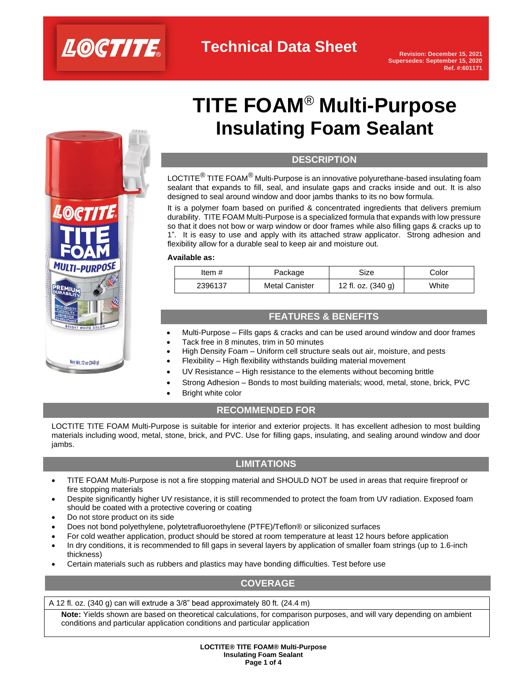

# **TITE FOAM**® **Multi-Purpose Insulating Foam Sealant**

#### **DESCRIPTION**

LOCTITE $^{\circledR}$  TITE FOAM $^{\circledR}$  Multi-Purpose is an innovative polyurethane-based insulating foam sealant that expands to fill, seal, and insulate gaps and cracks inside and out. It is also designed to seal around window and door jambs thanks to its no bow formula.

It is a polymer foam based on purified & concentrated ingredients that delivers premium durability. TITE FOAM Multi-Purpose is a specialized formula that expands with low pressure so that it does not bow or warp window or door frames while also filling gaps & cracks up to 1". It is easy to use and apply with its attached straw applicator. Strong adhesion and flexibility allow for a durable seal to keep air and moisture out.

#### **Available as:**

| ltem #  | Package               | Size                 | Color |
|---------|-----------------------|----------------------|-------|
| 2396137 | <b>Metal Canister</b> | 12 fl. oz. $(340 g)$ | White |

# **FEATURES & BENEFITS**

- Multi-Purpose Fills gaps & cracks and can be used around window and door frames
- Tack free in 8 minutes, trim in 50 minutes
- High Density Foam Uniform cell structure seals out air, moisture, and pests
- Flexibility High flexibility withstands building material movement
- UV Resistance High resistance to the elements without becoming brittle
- Strong Adhesion Bonds to most building materials; wood, metal, stone, brick, PVC
- **Bright white color**

### **RECOMMENDED FOR**

LOCTITE TITE FOAM Multi-Purpose is suitable for interior and exterior projects. It has excellent adhesion to most building materials including wood, metal, stone, brick, and PVC. Use for filling gaps, insulating, and sealing around window and door jambs.

# **LIMITATIONS**

- TITE FOAM Multi-Purpose is not a fire stopping material and SHOULD NOT be used in areas that require fireproof or fire stopping materials
- Despite significantly higher UV resistance, it is still recommended to protect the foam from UV radiation. Exposed foam should be coated with a protective covering or coating
- Do not store product on its side

**SHT WHITE COL** 

Net Wt. 12 oz (340 g)

- Does not bond polyethylene, polytetrafluoroethylene (PTFE)/Teflon® or siliconized surfaces
- For cold weather application, product should be stored at room temperature at least 12 hours before application
- In dry conditions, it is recommended to fill gaps in several layers by application of smaller foam strings (up to 1.6-inch thickness)
- Certain materials such as rubbers and plastics may have bonding difficulties. Test before use

# **COVERAGE**

A 12 fl. oz. (340 g) can will extrude a 3/8" bead approximately 80 ft. (24.4 m)

**Note:** Yields shown are based on theoretical calculations, for comparison purposes, and will vary depending on ambient conditions and particular application conditions and particular application

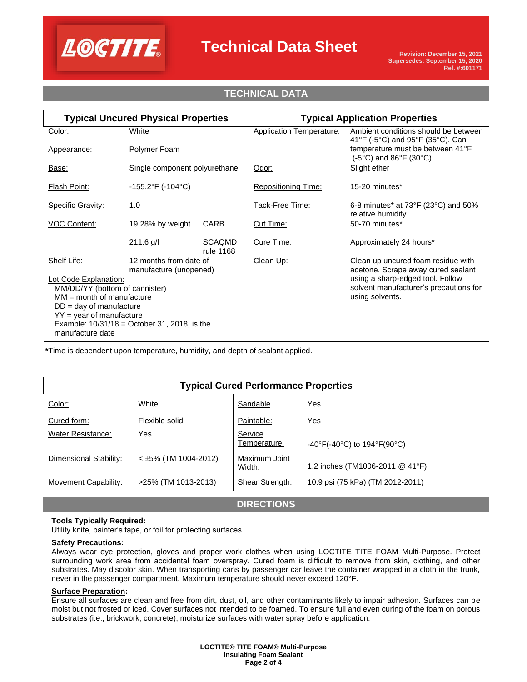

# **Technical Data Sheet**

# **TECHNICAL DATA**

| <b>Typical Uncured Physical Properties</b>               |                                                  | <b>Typical Application Properties</b> |                                        |                                                                                          |
|----------------------------------------------------------|--------------------------------------------------|---------------------------------------|----------------------------------------|------------------------------------------------------------------------------------------|
| Color:                                                   | White                                            |                                       | <b>Application Temperature:</b>        | Ambient conditions should be between<br>41°F (-5°C) and 95°F (35°C). Can                 |
| Appearance:                                              | Polymer Foam                                     |                                       |                                        | temperature must be between 41°F<br>$(-5^{\circ}C)$ and $86^{\circ}F$ (30 $^{\circ}C$ ). |
| Base:                                                    | Single component polyurethane                    |                                       | Odor:                                  | Slight ether                                                                             |
| Flash Point:                                             | $-155.2$ °F (-104°C)                             |                                       | <b>Repositioning Time:</b>             | 15-20 minutes*                                                                           |
| <b>Specific Gravity:</b>                                 | 1.0                                              |                                       | <u> Tack-Free Time:</u>                | 6-8 minutes* at $73^{\circ}F(23^{\circ}C)$ and $50\%$<br>relative humidity               |
| <b>VOC Content:</b>                                      | 19.28% by weight                                 | CARB                                  | Cut Time:                              | 50-70 minutes*                                                                           |
|                                                          | $211.6$ g/l                                      | <b>SCAQMD</b><br>rule 1168            | Cure Time:                             | Approximately 24 hours*                                                                  |
| Shelf Life:                                              | 12 months from date of<br>manufacture (unopened) |                                       | Clean Up:                              | Clean up uncured foam residue with<br>acetone. Scrape away cured sealant                 |
| Lot Code Explanation:                                    |                                                  |                                       | using a sharp-edged tool. Follow       |                                                                                          |
| MM/DD/YY (bottom of cannister)                           |                                                  |                                       | solvent manufacturer's precautions for |                                                                                          |
| $MM = month of manufacture$<br>$DD = day$ of manufacture |                                                  |                                       | using solvents.                        |                                                                                          |
| $YY = year$ of manufacture                               |                                                  |                                       |                                        |                                                                                          |
| Example: $10/31/18 =$ October 31, 2018, is the           |                                                  |                                       |                                        |                                                                                          |
| manufacture date                                         |                                                  |                                       |                                        |                                                                                          |

**\***Time is dependent upon temperature, humidity, and depth of sealant applied.

| <b>Typical Cured Performance Properties</b> |                        |                         |                                                                        |  |  |  |  |
|---------------------------------------------|------------------------|-------------------------|------------------------------------------------------------------------|--|--|--|--|
| Color:                                      | White                  | Sandable                | Yes                                                                    |  |  |  |  |
| Cured form:                                 | Flexible solid         | Paintable:              | Yes                                                                    |  |  |  |  |
| <b>Water Resistance:</b>                    | Yes                    | Service<br>Temperature: | $-40^{\circ}$ F(-40 $^{\circ}$ C) to 194 $^{\circ}$ F(90 $^{\circ}$ C) |  |  |  |  |
| Dimensional Stability:                      | $<$ ±5% (TM 1004-2012) | Maximum Joint<br>Width: | 1.2 inches (TM1006-2011 @ 41°F)                                        |  |  |  |  |
| Movement Capability:                        | >25% (TM 1013-2013)    | Shear Strength:         | 10.9 psi (75 kPa) (TM 2012-2011)                                       |  |  |  |  |
|                                             |                        |                         |                                                                        |  |  |  |  |

**DIRECTIONS**

#### **Tools Typically Required:**

Utility knife, painter's tape, or foil for protecting surfaces.

#### **Safety Precautions:**

Always wear eye protection, gloves and proper work clothes when using LOCTITE TITE FOAM Multi-Purpose. Protect surrounding work area from accidental foam overspray. Cured foam is difficult to remove from skin, clothing, and other substrates. May discolor skin. When transporting cans by passenger car leave the container wrapped in a cloth in the trunk, never in the passenger compartment. Maximum temperature should never exceed 120°F.

#### **Surface Preparation:**

Ensure all surfaces are clean and free from dirt, dust, oil, and other contaminants likely to impair adhesion. Surfaces can be moist but not frosted or iced. Cover surfaces not intended to be foamed. To ensure full and even curing of the foam on porous substrates (i.e., brickwork, concrete), moisturize surfaces with water spray before application.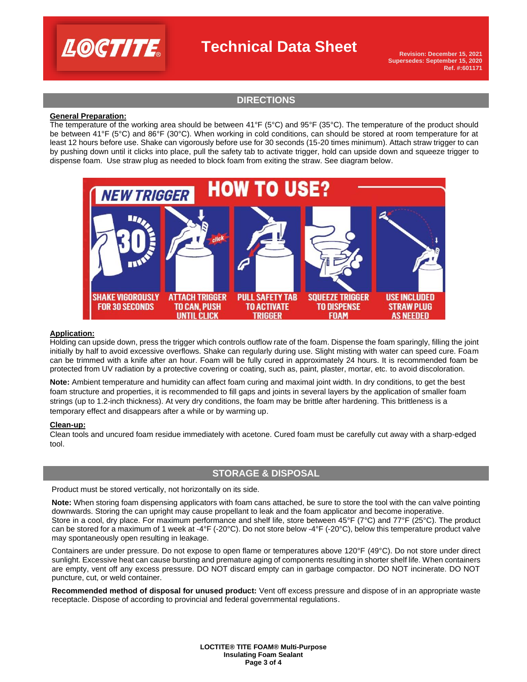

# **Technical Data Sheet**

**Revision: December 15, 2021 Supersedes: September 15, 2020 Ref. #:601171**

### **DIRECTIONS**

#### **General Preparation:**

The temperature of the working area should be between 41°F (5°C) and 95°F (35°C). The temperature of the product should be between 41°F (5°C) and 86°F (30°C). When working in cold conditions, can should be stored at room temperature for at least 12 hours before use. Shake can vigorously before use for 30 seconds (15-20 times minimum). Attach straw trigger to can by pushing down until it clicks into place, pull the safety tab to activate trigger, hold can upside down and squeeze trigger to dispense foam. Use straw plug as needed to block foam from exiting the straw. See diagram below.



#### **Application:**

Holding can upside down, press the trigger which controls outflow rate of the foam. Dispense the foam sparingly, filling the joint initially by half to avoid excessive overflows. Shake can regularly during use. Slight misting with water can speed cure. Foam can be trimmed with a knife after an hour. Foam will be fully cured in approximately 24 hours. It is recommended foam be protected from UV radiation by a protective covering or coating, such as, paint, plaster, mortar, etc. to avoid discoloration.

**Note:** Ambient temperature and humidity can affect foam curing and maximal joint width. In dry conditions, to get the best foam structure and properties, it is recommended to fill gaps and joints in several layers by the application of smaller foam strings (up to 1.2-inch thickness). At very dry conditions, the foam may be brittle after hardening. This brittleness is a temporary effect and disappears after a while or by warming up.

#### **Clean-up:**

Clean tools and uncured foam residue immediately with acetone. Cured foam must be carefully cut away with a sharp-edged tool.

#### **STORAGE & DISPOSAL**

Product must be stored vertically, not horizontally on its side.

**Note:** When storing foam dispensing applicators with foam cans attached, be sure to store the tool with the can valve pointing downwards. Storing the can upright may cause propellant to leak and the foam applicator and become inoperative. Store in a cool, dry place. For maximum performance and shelf life, store between 45°F (7°C) and 77°F (25°C). The product can be stored for a maximum of 1 week at -4°F (-20°C). Do not store below -4°F (-20°C), below this temperature product valve may spontaneously open resulting in leakage.

Containers are under pressure. Do not expose to open flame or temperatures above 120°F (49°C). Do not store under direct sunlight. Excessive heat can cause bursting and premature aging of components resulting in shorter shelf life. When containers are empty, vent off any excess pressure. DO NOT discard empty can in garbage compactor. DO NOT incinerate. DO NOT puncture, cut, or weld container.

**Recommended method of disposal for unused product:** Vent off excess pressure and dispose of in an appropriate waste receptacle. Dispose of according to provincial and federal governmental regulations.